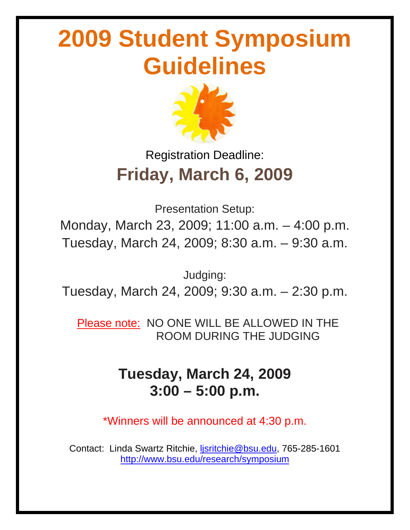# **2009 Student Symposium Guidelines**



### Registration Deadline: **Friday, March 6, 2009**

Presentation Setup: Monday, March 23, 2009; 11:00 a.m. – 4:00 p.m. Tuesday, March 24, 2009; 8:30 a.m. – 9:30 a.m.

Judging: Tuesday, March 24, 2009; 9:30 a.m. – 2:30 p.m.

 Please note: NO ONE WILL BE ALLOWED IN THE ROOM DURING THE JUDGING

### **Tuesday, March 24, 2009 3:00 – 5:00 p.m.**

\*Winners will be announced at 4:30 p.m.

Contact: Linda Swartz Ritchie, [ljsritchie@bsu.edu](mailto:ljsritchie@bsu.edu), 765-285-1601 <http://www.bsu.edu/research/symposium>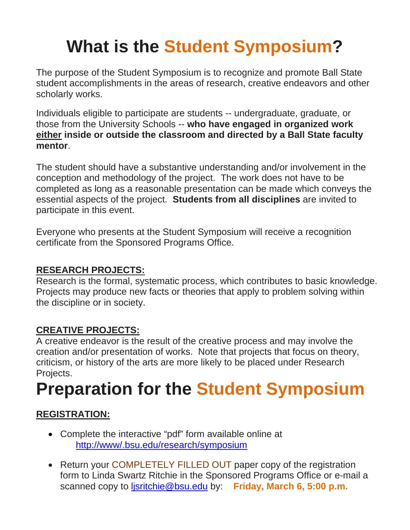## **What is the Student Symposium?**

The purpose of the Student Symposium is to recognize and promote Ball State student accomplishments in the areas of research, creative endeavors and other scholarly works.

Individuals eligible to participate are students -- undergraduate, graduate, or those from the University Schools -- **who have engaged in organized work either inside or outside the classroom and directed by a Ball State faculty mentor**.

The student should have a substantive understanding and/or involvement in the conception and methodology of the project. The work does not have to be completed as long as a reasonable presentation can be made which conveys the essential aspects of the project. **Students from all disciplines** are invited to participate in this event.

Everyone who presents at the Student Symposium will receive a recognition certificate from the Sponsored Programs Office.

#### **RESEARCH PROJECTS:**

Research is the formal, systematic process, which contributes to basic knowledge. Projects may produce new facts or theories that apply to problem solving within the discipline or in society.

#### **CREATIVE PROJECTS:**

A creative endeavor is the result of the creative process and may involve the creation and/or presentation of works. Note that projects that focus on theory, criticism, or history of the arts are more likely to be placed under Research Projects.

### **Preparation for the Student Symposium**

#### **REGISTRATION:**

- Complete the interactive "pdf" form available online at <http://www/.bsu.edu/research/symposium>
- Return your COMPLETELY FILLED OUT paper copy of the registration form to Linda Swartz Ritchie in the Sponsored Programs Office or e-mail a scanned copy to [ljsritchie@bsu.edu](mailto:ljsritchie@bsu.edu) by: **Friday, March 6, 5:00 p.m.**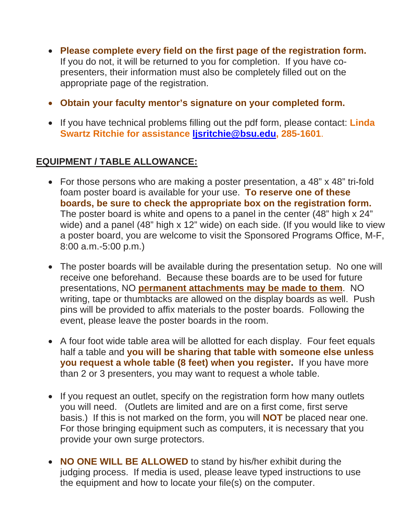- **Please complete every field on the first page of the registration form.**  If you do not, it will be returned to you for completion. If you have copresenters, their information must also be completely filled out on the appropriate page of the registration.
- **Obtain your faculty mentor's signature on your completed form.**
- If you have technical problems filling out the pdf form, please contact: **Linda Swartz Ritchie for assistance [ljsritchie@bsu.edu](mailto:ljsritchie@bsu.edu), 285-1601**.

#### **EQUIPMENT / TABLE ALLOWANCE:**

- For those persons who are making a poster presentation, a 48" x 48" tri-fold foam poster board is available for your use. **To reserve one of these boards, be sure to check the appropriate box on the registration form.** The poster board is white and opens to a panel in the center (48" high x 24" wide) and a panel (48" high x 12" wide) on each side. (If you would like to view a poster board, you are welcome to visit the Sponsored Programs Office, M-F, 8:00 a.m.-5:00 p.m.)
- The poster boards will be available during the presentation setup. No one will receive one beforehand. Because these boards are to be used for future presentations, NO **permanent attachments may be made to them**. NO writing, tape or thumbtacks are allowed on the display boards as well. Push pins will be provided to affix materials to the poster boards. Following the event, please leave the poster boards in the room.
- A four foot wide table area will be allotted for each display. Four feet equals half a table and **you will be sharing that table with someone else unless you request a whole table (8 feet) when you register.** If you have more than 2 or 3 presenters, you may want to request a whole table.
- If you request an outlet, specify on the registration form how many outlets you will need. (Outlets are limited and are on a first come, first serve basis.) If this is not marked on the form, you will **NOT** be placed near one. For those bringing equipment such as computers, it is necessary that you provide your own surge protectors.
- **NO ONE WILL BE ALLOWED** to stand by his/her exhibit during the judging process. If media is used, please leave typed instructions to use the equipment and how to locate your file(s) on the computer.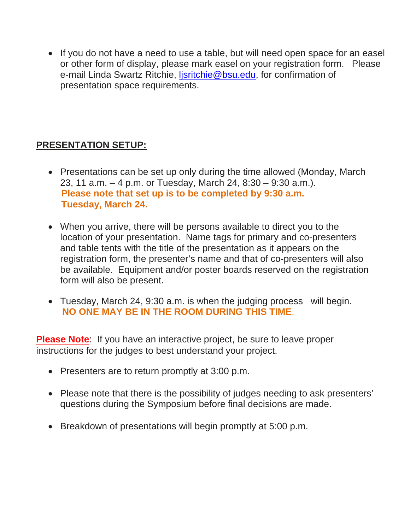• If you do not have a need to use a table, but will need open space for an easel or other form of display, please mark easel on your registration form. Please e-mail Linda Swartz Ritchie, [ljsritchie@bsu.edu](mailto:ljsritchie@bsu.edu), for confirmation of presentation space requirements.

#### **PRESENTATION SETUP:**

- Presentations can be set up only during the time allowed (Monday, March 23, 11 a.m. – 4 p.m. or Tuesday, March 24, 8:30 – 9:30 a.m.).  **Please note that set up is to be completed by 9:30 a.m. Tuesday, March 24.**
- When you arrive, there will be persons available to direct you to the location of your presentation. Name tags for primary and co-presenters and table tents with the title of the presentation as it appears on the registration form, the presenter's name and that of co-presenters will also be available. Equipment and/or poster boards reserved on the registration form will also be present.
- Tuesday, March 24, 9:30 a.m. is when the judging process will begin. **NO ONE MAY BE IN THE ROOM DURING THIS TIME**.

**Please Note**: If you have an interactive project, be sure to leave proper instructions for the judges to best understand your project.

- Presenters are to return promptly at 3:00 p.m.
- Please note that there is the possibility of judges needing to ask presenters' questions during the Symposium before final decisions are made.
- Breakdown of presentations will begin promptly at 5:00 p.m.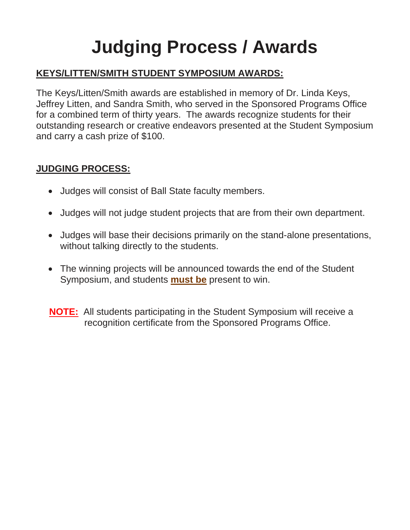# **Judging Process / Awards**

#### **KEYS/LITTEN/SMITH STUDENT SYMPOSIUM AWARDS:**

The Keys/Litten/Smith awards are established in memory of Dr. Linda Keys, Jeffrey Litten, and Sandra Smith, who served in the Sponsored Programs Office for a combined term of thirty years. The awards recognize students for their outstanding research or creative endeavors presented at the Student Symposium and carry a cash prize of \$100.

#### **JUDGING PROCESS:**

- Judges will consist of Ball State faculty members.
- Judges will not judge student projects that are from their own department.
- Judges will base their decisions primarily on the stand-alone presentations, without talking directly to the students.
- The winning projects will be announced towards the end of the Student Symposium, and students **must be** present to win.

 **NOTE:** All students participating in the Student Symposium will receive a recognition certificate from the Sponsored Programs Office.